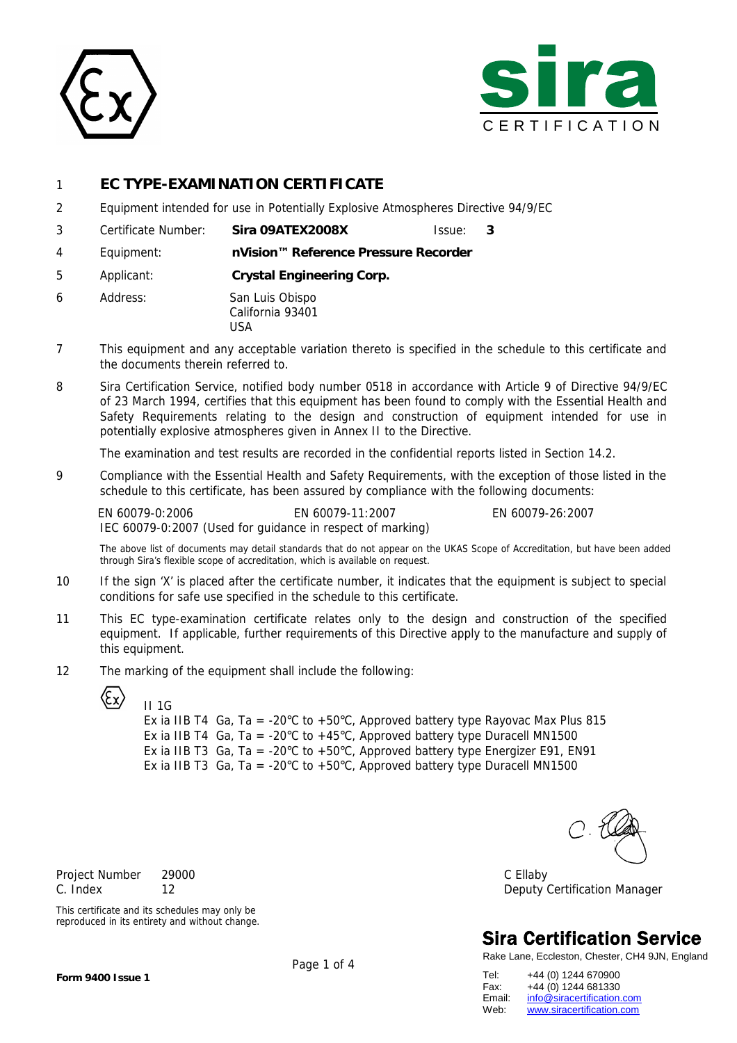



## 1 **EC TYPE-EXAMINATION CERTIFICATE**

- 2 Equipment intended for use in Potentially Explosive Atmospheres Directive 94/9/EC
- 3 Certificate Number: **Sira 09ATEX2008X** Issue: **3**
- 4 Equipment: **nVision™ Reference Pressure Recorder**
- 5 Applicant: **Crystal Engineering Corp.**
- 6 Address: San Luis Obispo California 93401 USA
- 7 This equipment and any acceptable variation thereto is specified in the schedule to this certificate and the documents therein referred to.
- 8 Sira Certification Service, notified body number 0518 in accordance with Article 9 of Directive 94/9/EC of 23 March 1994, certifies that this equipment has been found to comply with the Essential Health and Safety Requirements relating to the design and construction of equipment intended for use in potentially explosive atmospheres given in Annex II to the Directive.

The examination and test results are recorded in the confidential reports listed in Section 14.2.

9 Compliance with the Essential Health and Safety Requirements, with the exception of those listed in the schedule to this certificate, has been assured by compliance with the following documents:

EN 60079-0:2006 EN 60079-11:2007 EN 60079-26:2007 IEC 60079-0:2007 (Used for guidance in respect of marking)

The above list of documents may detail standards that do not appear on the UKAS Scope of Accreditation, but have been added through Sira's flexible scope of accreditation, which is available on request.

- 10 If the sign 'X' is placed after the certificate number, it indicates that the equipment is subject to special conditions for safe use specified in the schedule to this certificate.
- 11 This EC type-examination certificate relates only to the design and construction of the specified equipment. If applicable, further requirements of this Directive apply to the manufacture and supply of this equipment.
- 12 The marking of the equipment shall include the following:



 II 1G Ex ia IIB T4 Ga, Ta = -20°C to +50°C, Approved battery type Rayovac Max Plus 815 Ex ia IIB T4 Ga, Ta = -20°C to +45°C, Approved battery type Duracell MN1500 Ex ia IIB T3 Ga, Ta = -20 $\degree$ C to +50 $\degree$ C, Approved battery type Energizer E91, EN91 Ex ia IIB T3 Ga, Ta = -20°C to +50°C, Approved battery type Duracell MN1500

Project Number 29000 C Ellaby C. Index 12 Deputy Certification Manager

## **Sira Certification Service**

Rake Lane, Eccleston, Chester, CH4 9JN, England

Tel: +44 (0) 1244 670900 Fax: +44 (0) 1244 681330<br>Email: info@siracertification. Email: info@siracertification.com<br>Web: www.siracertification.com www.siracertification.com

This certificate and its schedules may only be reproduced in its entirety and without change.

Page 1 of 4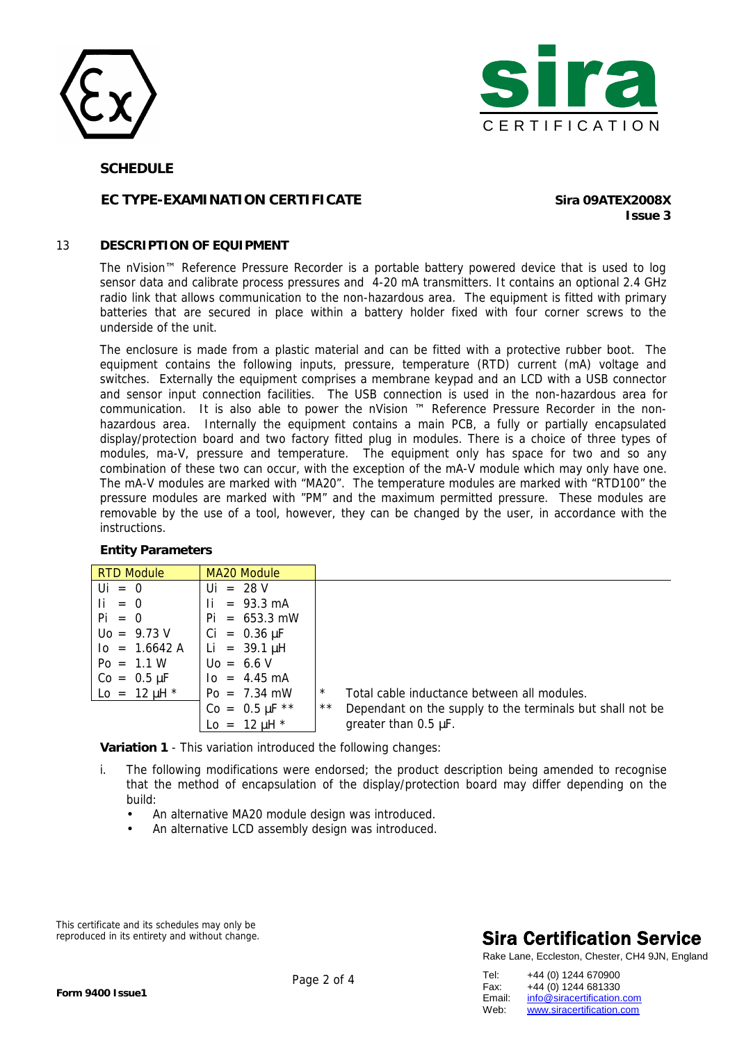



#### **SCHEDULE**

## **EC TYPE-EXAMINATION CERTIFICATE Sira 09ATEX2008X**

**Issue 3**

#### 13 **DESCRIPTION OF EQUIPMENT**

The nVision™ Reference Pressure Recorder is a portable battery powered device that is used to log sensor data and calibrate process pressures and 4-20 mA transmitters. It contains an optional 2.4 GHz radio link that allows communication to the non-hazardous area. The equipment is fitted with primary batteries that are secured in place within a battery holder fixed with four corner screws to the underside of the unit.

The enclosure is made from a plastic material and can be fitted with a protective rubber boot. The equipment contains the following inputs, pressure, temperature (RTD) current (mA) voltage and switches. Externally the equipment comprises a membrane keypad and an LCD with a USB connector and sensor input connection facilities. The USB connection is used in the non-hazardous area for communication. It is also able to power the nVision ™ Reference Pressure Recorder in the nonhazardous area. Internally the equipment contains a main PCB, a fully or partially encapsulated display/protection board and two factory fitted plug in modules. There is a choice of three types of modules, ma-V, pressure and temperature. The equipment only has space for two and so any combination of these two can occur, with the exception of the mA-V module which may only have one. The mA-V modules are marked with "MA20". The temperature modules are marked with "RTD100" the pressure modules are marked with "PM" and the maximum permitted pressure. These modules are removable by the use of a tool, however, they can be changed by the user, in accordance with the instructions.

#### **Entity Parameters**

| <b>RTD Module</b>       | <b>MA20 Module</b>         |                                                                    |
|-------------------------|----------------------------|--------------------------------------------------------------------|
| $\mathsf{U}$ = 0        | $Ui = 28 V$                |                                                                    |
| $\mathbf{I}$ = 0        | $= 93.3 \text{ mA}$<br>Ιi. |                                                                    |
| $Pi = 0$                | $Pi = 653.3$ mW            |                                                                    |
| $U_0 = 9.73 V$          | $Ci = 0.36 \mu F$          |                                                                    |
| $I_0 = 1.6642 A$        | Li = $39.1 \mu H$          |                                                                    |
| $Po = 1.1 W$            | $U_0 = 6.6 V$              |                                                                    |
| $Co = 0.5 \mu F$        | $I_0 = 4.45 \text{ mA}$    |                                                                    |
| $\Delta$ = 12 $\mu$ H * | $Po = 7.34$ mW             | $\star$<br>Total cable inductance between all modules.             |
|                         | $Co = 0.5 \mu F$ **        | $***$<br>Dependant on the supply to the terminals but shall not be |
|                         | $\Delta$ = 12 $\mu$ H *    | greater than $0.5 \mu F$ .                                         |

**Variation 1** - This variation introduced the following changes:

- i. The following modifications were endorsed; the product description being amended to recognise that the method of encapsulation of the display/protection board may differ depending on the build:
	- An alternative MA20 module design was introduced.
	- An alternative LCD assembly design was introduced.

This certificate and its schedules may only be reproduced in its entirety and without change.

## **Sira Certification Service**

Rake Lane, Eccleston, Chester, CH4 9JN, England

| Tel:   | +44 (0) 1244 670900        |
|--------|----------------------------|
| Fax:   | +44 (0) 1244 681330        |
| Email: | info@siracertification.com |
| Web:   | www.siracertification.com  |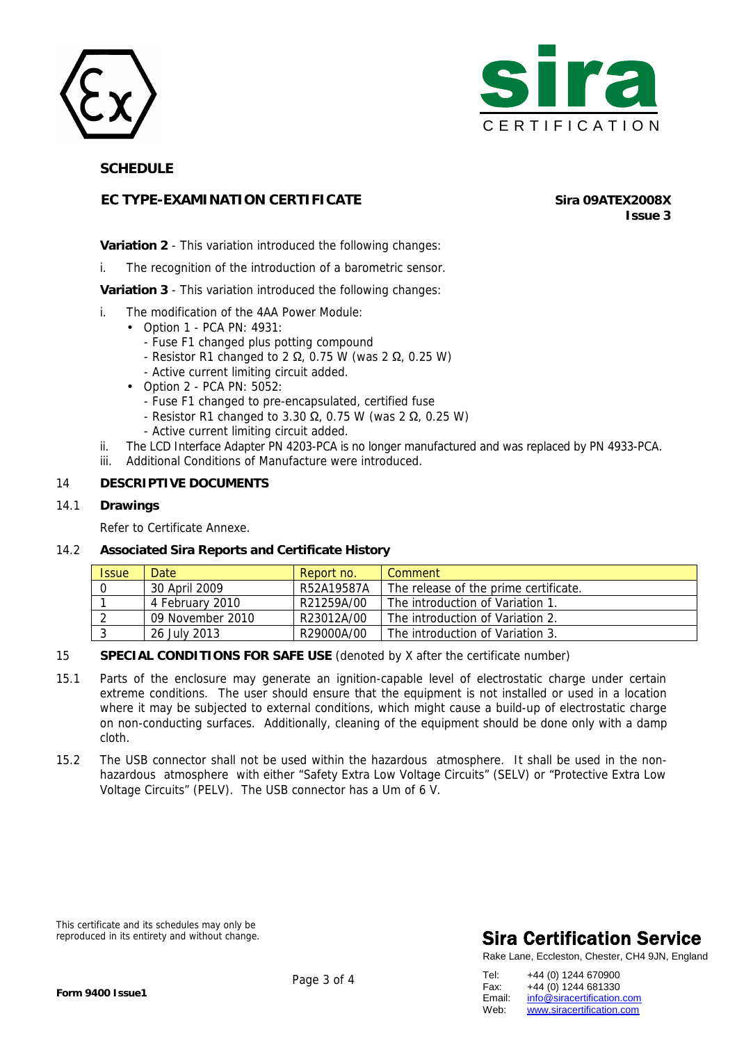



 **SCHEDULE** 

## **EC TYPE-EXAMINATION CERTIFICATE Sira 09ATEX2008X**

**Issue 3**

### **Variation 2** - This variation introduced the following changes:

i. The recognition of the introduction of a barometric sensor.

**Variation 3** - This variation introduced the following changes:

- i. The modification of the 4AA Power Module:
	- Option 1 PCA PN: 4931:
		- Fuse F1 changed plus potting compound
		- Resistor R1 changed to 2  $\Omega$ , 0.75 W (was 2  $\Omega$ , 0.25 W)
		- Active current limiting circuit added.
	- Option 2 PCA PN: 5052:
		- Fuse F1 changed to pre-encapsulated, certified fuse
		- Resistor R1 changed to 3.30  $\Omega$ , 0.75 W (was 2  $\Omega$ , 0.25 W)
		- Active current limiting circuit added.
- ii. The LCD Interface Adapter PN 4203-PCA is no longer manufactured and was replaced by PN 4933-PCA.
- iii. Additional Conditions of Manufacture were introduced.

#### 14 **DESCRIPTIVE DOCUMENTS**

14.1 **Drawings** 

Refer to Certificate Annexe.

#### 14.2 **Associated Sira Reports and Certificate History**

| <b>Issue</b> | <b>Date</b>      | Report no. | Comment                               |
|--------------|------------------|------------|---------------------------------------|
| 0            | 30 April 2009    | R52A19587A | The release of the prime certificate. |
|              | 4 February 2010  | R21259A/00 | The introduction of Variation 1.      |
|              | 09 November 2010 | R23012A/00 | The introduction of Variation 2.      |
|              | 26 July 2013     | R29000A/00 | The introduction of Variation 3.      |

#### 15 **SPECIAL CONDITIONS FOR SAFE USE** (denoted by X after the certificate number)

- 15.1 Parts of the enclosure may generate an ignition-capable level of electrostatic charge under certain extreme conditions. The user should ensure that the equipment is not installed or used in a location where it may be subjected to external conditions, which might cause a build-up of electrostatic charge on non-conducting surfaces. Additionally, cleaning of the equipment should be done only with a damp cloth.
- 15.2 The USB connector shall not be used within the hazardous atmosphere. It shall be used in the nonhazardous atmosphere with either "Safety Extra Low Voltage Circuits" (SELV) or "Protective Extra Low Voltage Circuits" (PELV). The USB connector has a Um of 6 V.

This certificate and its schedules may only be reproduced in its entirety and without change.

# **Sira Certification Service**

Rake Lane, Eccleston, Chester, CH4 9JN, England

| Tel:   | +44 (0) 1244 670900        |
|--------|----------------------------|
| Fax:   | +44 (0) 1244 681330        |
| Email: | info@siracertification.com |
| Web:   | www.siracertification.com  |